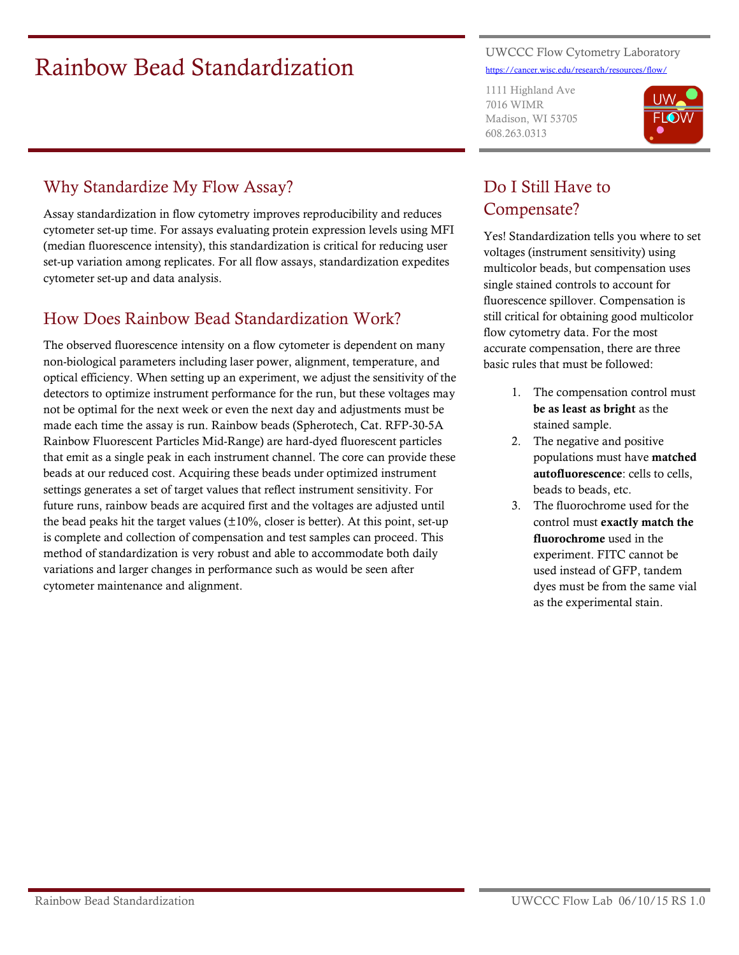# Rainbow Bead Standardization

UWCCC Flow Cytometry Laboratory [https://cancer.wisc.edu/research/resources/flow/](http://www.uwhealth.org/flowlab)

1111 Highland Ave 7016 WIMR Madison, WI 53705 608.263.0313



### Why Standardize My Flow Assay?

Assay standardization in flow cytometry improves reproducibility and reduces cytometer set-up time. For assays evaluating protein expression levels using MFI (median fluorescence intensity), this standardization is critical for reducing user set-up variation among replicates. For all flow assays, standardization expedites cytometer set-up and data analysis.

#### How Does Rainbow Bead Standardization Work?

The observed fluorescence intensity on a flow cytometer is dependent on many non-biological parameters including laser power, alignment, temperature, and optical efficiency. When setting up an experiment, we adjust the sensitivity of the detectors to optimize instrument performance for the run, but these voltages may not be optimal for the next week or even the next day and adjustments must be made each time the assay is run. Rainbow beads (Spherotech, Cat. RFP-30-5A Rainbow Fluorescent Particles Mid-Range) are hard-dyed fluorescent particles that emit as a single peak in each instrument channel. The core can provide these beads at our reduced cost. Acquiring these beads under optimized instrument settings generates a set of target values that reflect instrument sensitivity. For future runs, rainbow beads are acquired first and the voltages are adjusted until the bead peaks hit the target values  $(\pm 10\%$ , closer is better). At this point, set-up is complete and collection of compensation and test samples can proceed. This method of standardization is very robust and able to accommodate both daily variations and larger changes in performance such as would be seen after cytometer maintenance and alignment.

## Do I Still Have to Compensate?

Yes! Standardization tells you where to set voltages (instrument sensitivity) using multicolor beads, but compensation uses single stained controls to account for fluorescence spillover. Compensation is still critical for obtaining good multicolor flow cytometry data. For the most accurate compensation, there are three basic rules that must be followed:

- 1. The compensation control must be as least as bright as the stained sample.
- 2. The negative and positive populations must have matched autofluorescence: cells to cells, beads to beads, etc.
- 3. The fluorochrome used for the control must exactly match the fluorochrome used in the experiment. FITC cannot be used instead of GFP, tandem dyes must be from the same vial as the experimental stain.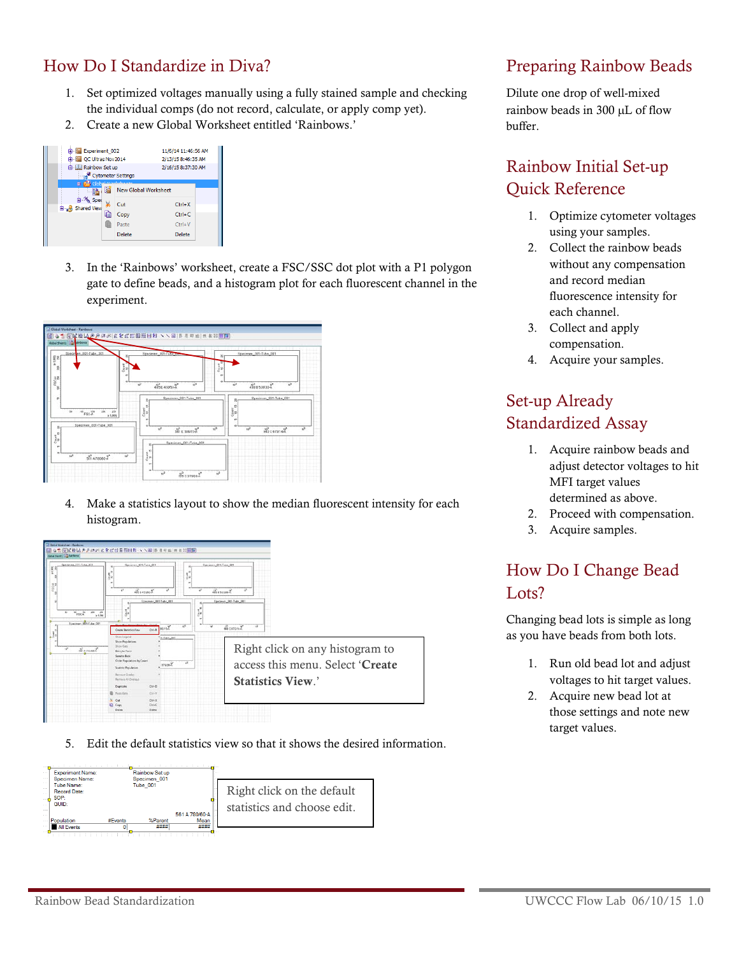#### How Do I Standardize in Diva?

- 1. Set optimized voltages manually using a fully stained sample and checking the individual comps (do not record, calculate, or apply comp yet).
- 2. Create a new Global Worksheet entitled 'Rainbows.'

|                            | <b>B</b> Experiment 002 |                             |  |  |  |
|----------------------------|-------------------------|-----------------------------|--|--|--|
| <b>B</b> QC Ultras Nov2014 |                         | 2/13/15 8:46:35 AM          |  |  |  |
| <b>B</b> Rainbow Set up    | Cytometer Settings      | 2/16/15 8:37:30 AM          |  |  |  |
|                            |                         | <b>New Global Worksheet</b> |  |  |  |
| <b>B</b> Shared View       | Ж<br>Cut                | $Ctrl+X$                    |  |  |  |
|                            | 嗚<br>Copy               | $Ctrl + C$                  |  |  |  |
|                            | Paste                   | $C$ trl+V                   |  |  |  |
|                            | Delete                  | Delete                      |  |  |  |

3. In the 'Rainbows' worksheet, create a FSC/SSC dot plot with a P1 polygon gate to define beads, and a histogram plot for each fluorescent channel in the experiment.



4. Make a statistics layout to show the median fluorescent intensity for each histogram.



5. Edit the default statistics view so that it shows the desired information.



#### Preparing Rainbow Beads

Dilute one drop of well-mixed rainbow beads in 300 µL of flow buffer.

## Rainbow Initial Set-up Quick Reference

- 1. Optimize cytometer voltages using your samples.
- 2. Collect the rainbow beads without any compensation and record median fluorescence intensity for each channel.
- 3. Collect and apply compensation.
- 4. Acquire your samples.

## Set-up Already Standardized Assay

- 1. Acquire rainbow beads and adjust detector voltages to hit MFI target values determined as above.
- 2. Proceed with compensation.
- 3. Acquire samples.

## How Do I Change Bead Lots?

Changing bead lots is simple as long as you have beads from both lots.

- 1. Run old bead lot and adjust voltages to hit target values.
- 2. Acquire new bead lot at those settings and note new target values.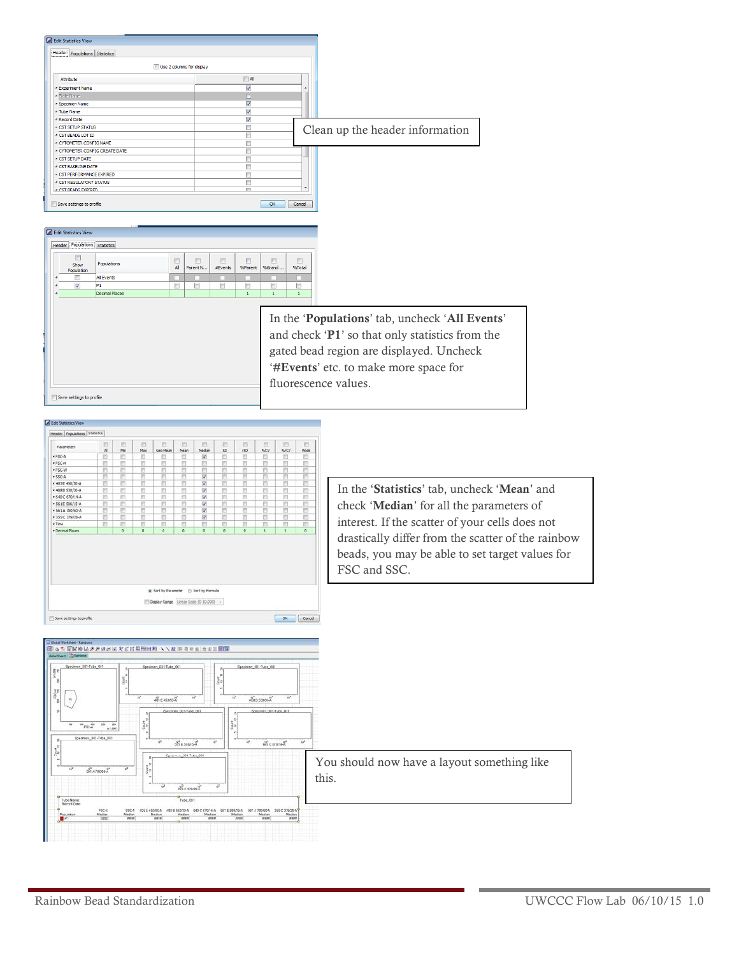| Header   Populations   Statistics                                               |                           |                              |                              |                                                 |
|---------------------------------------------------------------------------------|---------------------------|------------------------------|------------------------------|-------------------------------------------------|
|                                                                                 | Use 2 columns for display |                              |                              |                                                 |
| Attribute                                                                       |                           | $\Box$ All                   |                              |                                                 |
| · Experiment Name                                                               |                           | $\sqrt{2}$                   |                              |                                                 |
| · Plate Name                                                                    |                           | $\Box$                       |                              |                                                 |
| · Specimen Name                                                                 |                           | $\sqrt{}$                    |                              |                                                 |
| · Tube Name                                                                     |                           | $\blacktriangledown$         |                              |                                                 |
| · Record Date                                                                   |                           | $\overline{\mathsf{v}}$      |                              |                                                 |
| <b>CST SETUP STATUS</b>                                                         |                           | $\Box$                       |                              |                                                 |
| CST BEADS LOT ID                                                                |                           | $\overline{\phantom{a}}$     |                              | Clean up the header information                 |
| · CYTOMETER CONFIG NAME                                                         |                           | F                            |                              |                                                 |
| . CYTOMETER CONFIG CREATE DATE                                                  |                           | O                            |                              |                                                 |
| <b>CST SETUP DATE</b>                                                           |                           | O                            |                              |                                                 |
| <b>CST BASELINE DATE</b>                                                        |                           | $\Box$                       |                              |                                                 |
| · CST PERFORMANCE EXPIRED                                                       |                           | O                            |                              |                                                 |
| <b>CST REGULATORY STATUS</b>                                                    |                           | n                            |                              |                                                 |
| <b>CST READS EXPIRED</b>                                                        |                           | $\equiv$                     |                              |                                                 |
|                                                                                 |                           |                              |                              |                                                 |
|                                                                                 |                           |                              |                              |                                                 |
| <b>Header Populations Statistics</b>                                            |                           |                              |                              |                                                 |
| Edit Statistics View<br>$\Box$<br>▣<br>Populations<br>Show<br>All<br>Population | E<br>Parent N             | 同<br>同<br>#Events<br>%Parent | 同<br>m<br>%Grand<br>%Total   |                                                 |
| <b>All Events</b>                                                               |                           | m                            |                              |                                                 |
| V<br>O<br>P1                                                                    | n                         | O<br>n                       | m<br>n                       |                                                 |
| <b>Decimal Places</b>                                                           |                           | $\mathbf{1}$                 | $\mathbf{1}$<br>$\mathbf{1}$ |                                                 |
|                                                                                 |                           |                              |                              |                                                 |
|                                                                                 |                           |                              |                              | In the 'Populations' tab, uncheck 'All Events'  |
|                                                                                 |                           |                              |                              | and check 'P1' so that only statistics from the |
|                                                                                 |                           |                              |                              | gated bead region are displayed. Uncheck        |
|                                                                                 |                           |                              |                              | '#Events' etc. to make more space for           |

| Parameters         | e<br>$\mathbf{A}$ | 四<br>Min | 凹<br>Max | m<br>Geo Mean                           | 凹<br>Mean | 四<br>Median   | 扫<br>SD <sub>1</sub> | m<br><b>KSD</b> | 門<br>%CV     | E<br>%rCV | 門<br>Mode |
|--------------------|-------------------|----------|----------|-----------------------------------------|-----------|---------------|----------------------|-----------------|--------------|-----------|-----------|
| $ESC-4$            | Ð                 | e        | n        | €                                       | €         | U)            | Ð                    | 四               | B            | Ð         | E         |
| * PSC-H            | Ð                 | E        | е        | Ð                                       | €         | B             | 四                    | Б               | Đ            | E         | ₽         |
| $+$ FSC-W          | n                 | в        | E        | n                                       | 四         | 司             | n                    | Е               | n            | E         | E         |
| $-$ 550 $-$ A      | 門                 | B        | F        | Ħ                                       | F         | $\mathcal{I}$ | 門                    | m               | m            | F         | F         |
| # 405 E 450/50-A   | ö                 | E        | E        | ö                                       | в         | <b>V</b>      | ō                    | E               | ö            | ë         | ë         |
| $+488.8530/30 - A$ | n                 | E)       | E        | ö                                       | E         | $\mathcal{J}$ | E                    | n               | 笆            | E         | Ľ         |
| $*640 C670/14-A$   | m                 | E        | F        | B                                       | E         | V             | n                    | F               | F            | F         | в         |
| $-561E$ 586/15-A   | Ð                 | 西        | F        | B                                       | n         | V.            | 西                    | m               | 药            | F         | ë         |
| * 561 A 780/60 A   | Đ                 | E        | E        | Đ                                       | B         | V             | Ð                    | B               | B            | E         | E         |
| * 355 C 379/28-A   | Đ                 | E        | E        | ö                                       | c         | <b>V</b>      | e                    | E               | E            | ö         | Đ         |
| $+$ Time           | E1                | 四        | m        | 贮                                       | 四         | 四             | 四                    | m               | 档            | m         | É)        |
| - Decimal Places   |                   | ٥        | $\circ$  | ٥                                       | $\circ$   | ō             | ۰                    | o               | $\mathbf{1}$ | 1         | $\sigma$  |
|                    |                   |          |          |                                         |           |               |                      |                 |              |           |           |
|                    |                   |          |          | C Sort by Parameter (1) Sort by Formula |           |               |                      |                 |              |           |           |
|                    |                   |          |          |                                         |           |               |                      |                 |              |           |           |

Save settings to profile

In the 'Statistics' tab, uncheck 'Mean' and check 'Median' for all the parameters of interest. If the scatter of your cells does not drastically differ from the scatter of the rainbow beads, you may be able to set target values for FSC and SSC.

| Generations Section<br>2020年||GIM MAAPASK||6文式前田田田町 ヽヽ湖 トラモロ||共和国国<br>Georgian (Section)|  $\frac{1}{2}$  $258$   $+1000$  $\overrightarrow{abc}$ connell  $\frac{10^{2}}{251}$  6.5 You should now have a layout something like this. Recovered 70/14-A<br>Median<br>Jassa